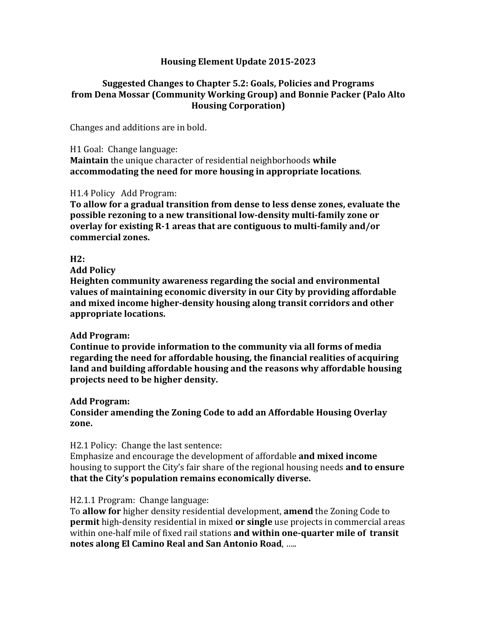# **Housing Element Update 2015-2023**

# **Suggested Changes to Chapter 5.2: Goals, Policies and Programs from Dena Mossar (Community Working Group) and Bonnie Packer (Palo Alto Housing Corporation)**

Changes and additions are in bold.

H1 Goal: Change language:

**Maintain** the unique character of residential neighborhoods while accommodating the need for more housing in appropriate locations.

## H1.4 Policy Add Program:

**To allow for a gradual transition from dense to less dense zones, evaluate the possible rezoning to a new transitional low-density multi-family zone or overlay for existing R-1 areas that are contiguous to multi-family and/or commercial zones.** 

## $H2:$

**Add Policy**

**Heighten community awareness regarding the social and environmental** values of maintaining economic diversity in our City by providing affordable and mixed income higher-density housing along transit corridors and other appropriate locations.

# Add Program:

Continue to provide information to the community via all forms of media regarding the need for affordable housing, the financial realities of acquiring land and building affordable housing and the reasons why affordable housing **projects need to be higher density.**

# **Add Program:**

Consider amending the Zoning Code to add an Affordable Housing Overlay **zone.**

# H2.1 Policy: Change the last sentence:

Emphasize and encourage the development of affordable **and mixed income** housing to support the City's fair share of the regional housing needs **and to ensure that the City's population remains economically diverse.** 

# H2.1.1 Program: Change language:

To **allow for** higher density residential development, **amend** the Zoning Code to **permit** high-density residential in mixed **or single** use projects in commercial areas within one-half mile of fixed rail stations and within one-quarter mile of transit **notes along El Camino Real and San Antonio Road, .....**